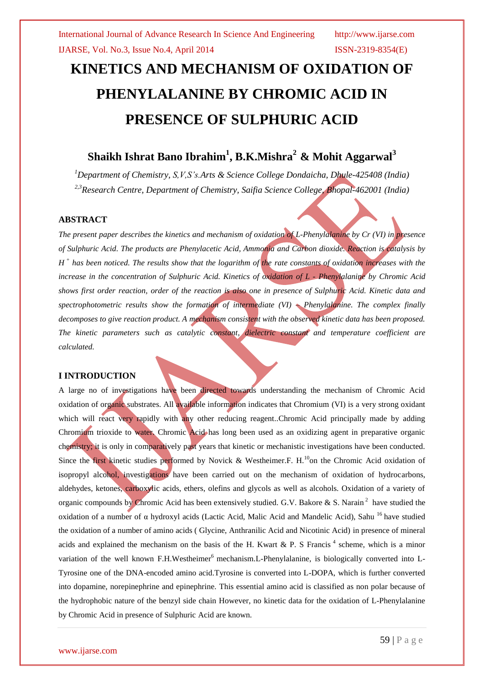# **KINETICS AND MECHANISM OF OXIDATION OF PHENYLALANINE BY CHROMIC ACID IN PRESENCE OF SULPHURIC ACID**

## **Shaikh Ishrat Bano Ibrahim<sup>1</sup> , B.K.Mishra<sup>2</sup> & Mohit Aggarwal<sup>3</sup>**

*<sup>1</sup>Department of Chemistry, S,V,S's.Arts & Science College Dondaicha, Dhule-425408 (India) 2,3Research Centre, Department of Chemistry, Saifia Science College, Bhopal-462001 (India)*

## **ABSTRACT**

*The present paper describes the kinetics and mechanism of oxidation of L-Phenylalanine by Cr (VI) in presence of Sulphuric Acid. The products are Phenylacetic Acid, Ammonia and Carbon dioxide. Reaction is catalysis by H + has been noticed. The results show that the logarithm of the rate constants of oxidation increases with the increase in the concentration of Sulphuric Acid. Kinetics of oxidation of L - Phenylalanine by Chromic Acid shows first order reaction, order of the reaction is also one in presence of Sulphuric Acid. Kinetic data and spectrophotometric results show the formation of intermediate (VI) – Phenylalanine. The complex finally decomposes to give reaction product. A mechanism consistent with the observed kinetic data has been proposed. The kinetic parameters such as catalytic constant, dielectric constant and temperature coefficient are calculated.* 

### **I INTRODUCTION**

A large no of investigations have been directed towards understanding the mechanism of Chromic Acid oxidation of organic substrates. All available information indicates that Chromium (VI) is a very strong oxidant which will react very rapidly with any other reducing reagent. Chromic Acid principally made by adding Chromium trioxide to water. Chromic Acid has long been used as an oxidizing agent in preparative organic chemistry; it is only in comparatively past years that kinetic or mechanistic investigations have been conducted. Since the first kinetic studies performed by Novick & Westheimer.F. H.<sup>10</sup>on the Chromic Acid oxidation of isopropyl alcohol, investigations have been carried out on the mechanism of oxidation of hydrocarbons, aldehydes, ketones, carboxylic acids, ethers, olefins and glycols as well as alcohols. Oxidation of a variety of organic compounds by Chromic Acid has been extensively studied. G.V. Bakore & S. Narain<sup>2</sup> have studied the oxidation of a number of α hydroxyl acids (Lactic Acid, Malic Acid and Mandelic Acid), Sahu <sup>16</sup> have studied the oxidation of a number of amino acids ( Glycine, Anthranilic Acid and Nicotinic Acid) in presence of mineral acids and explained the mechanism on the basis of the H. Kwart & P. S Francis<sup>4</sup> scheme, which is a minor variation of the well known F.H.Westheimer<sup>6</sup> mechanism.L-Phenylalanine, is biologically converted into L-Tyrosine one of the DNA-encoded amino acid.Tyrosine is converted into L-DOPA, which is further converted into dopamine, norepinephrine and epinephrine. This essential amino acid is classified as non polar because of the hydrophobic nature of the benzyl side chain However, no kinetic data for the oxidation of L-Phenylalanine by Chromic Acid in presence of Sulphuric Acid are known.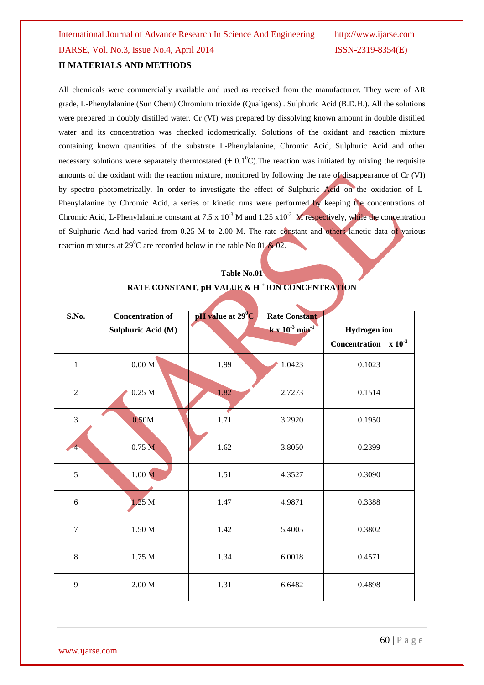## **II MATERIALS AND METHODS**

All chemicals were commercially available and used as received from the manufacturer. They were of AR grade, L-Phenylalanine (Sun Chem) Chromium trioxide (Qualigens) . Sulphuric Acid (B.D.H.). All the solutions were prepared in doubly distilled water. Cr (VI) was prepared by dissolving known amount in double distilled water and its concentration was checked iodometrically. Solutions of the oxidant and reaction mixture containing known quantities of the substrate L-Phenylalanine, Chromic Acid, Sulphuric Acid and other necessary solutions were separately thermostated  $(\pm 0.1^0C)$ . The reaction was initiated by mixing the requisite amounts of the oxidant with the reaction mixture, monitored by following the rate of disappearance of Cr (VI) by spectro photometrically. In order to investigate the effect of Sulphuric Acid on the oxidation of L-Phenylalanine by Chromic Acid, a series of kinetic runs were performed by keeping the concentrations of Chromic Acid, L-Phenylalanine constant at 7.5 x  $10^{-3}$  M and 1.25 x10<sup>-3</sup> M respectively, while the concentration of Sulphuric Acid had varied from 0.25 M to 2.00 M. The rate constant and others kinetic data of various reaction mixtures at 29<sup>0</sup>C are recorded below in the table No 01  $\&$  02.

## **Table No.01**

#### **RATE CONSTANT, pH VALUE & H <sup>+</sup>ION CONCENTRATION**

| S.No.          | <b>Concentration of</b> | pH value at 29 <sup>°</sup> C | <b>Rate Constant</b>                 |                           |
|----------------|-------------------------|-------------------------------|--------------------------------------|---------------------------|
|                |                         |                               |                                      |                           |
|                | Sulphuric Acid (M)      |                               | $k \times 10^{-3}$ min <sup>-1</sup> | <b>Hydrogen</b> ion       |
|                |                         |                               |                                      | Concentration $x 10^{-2}$ |
| $\mathbf{1}$   | $0.00$ M $\,$           | 1.99                          | 1.0423                               | 0.1023                    |
| $\overline{2}$ | $0.25$ M                | 1.82                          | 2.7273                               | 0.1514                    |
| $\overline{3}$ | 0.50M                   | 1.71                          | 3.2920                               | 0.1950                    |
| $\overline{4}$ | 0.75 <sub>M</sub>       | 1.62                          | 3.8050                               | 0.2399                    |
| 5              | 1.00 M                  | 1.51                          | 4.3527                               | 0.3090                    |
| 6              | 1.25 M                  | 1.47                          | 4.9871                               | 0.3388                    |
| $\overline{7}$ | $1.50\ \mathrm{M}$      | 1.42                          | 5.4005                               | 0.3802                    |
| 8              | $1.75\ \mathrm{M}$      | 1.34                          | 6.0018                               | 0.4571                    |
| 9              | $2.00\ \text{M}$        | 1.31                          | 6.6482                               | 0.4898                    |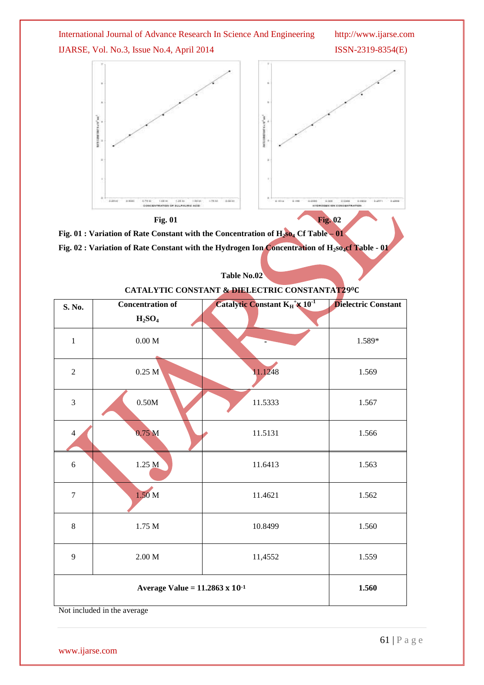

| 7                                        | 1.50 <sub>M</sub> | 11.4621 | 1.562 |
|------------------------------------------|-------------------|---------|-------|
| 8                                        | 1.75 M            | 10.8499 | 1.560 |
| 9                                        | 2.00 M            | 11,4552 | 1.559 |
| Average Value = $11.2863 \times 10^{-1}$ |                   |         | 1.560 |
| Not included in the average              |                   |         |       |

www.ijarse.com

61 | P a g e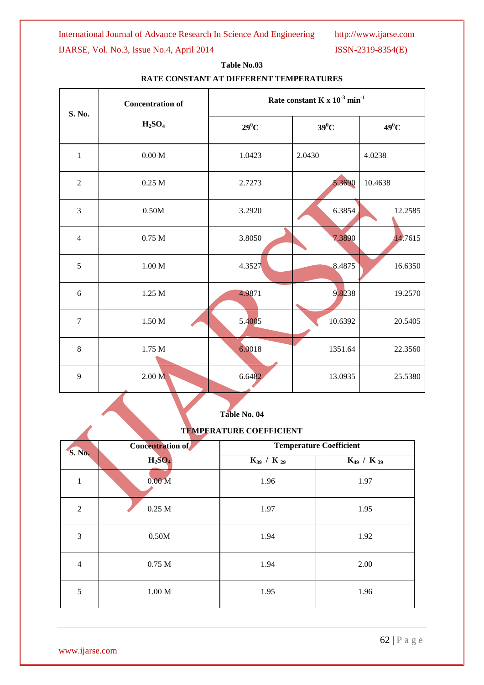International Journal of Advance Research In Science And Engineering http://www.ijarse.com

IJARSE, Vol. No.3, Issue No.4, April 2014 ISSN-2319-8354(E)

| S. No.         | <b>Concentration of</b><br>H <sub>2</sub> SO <sub>4</sub> | Rate constant K x $10^{-3}$ min <sup>-1</sup> |         |         |
|----------------|-----------------------------------------------------------|-----------------------------------------------|---------|---------|
|                |                                                           | $29^0C$                                       | $39^0C$ | $49^0C$ |
| $\mathbf{1}$   | $0.00\;\mathrm{M}$                                        | 1.0423                                        | 2.0430  | 4.0238  |
| $\overline{2}$ | $0.25$ M                                                  | 2.7273                                        | 5.3690  | 10.4638 |
| 3              | 0.50M                                                     | 3.2920                                        | 6.3854  | 12.2585 |
| $\overline{4}$ | $0.75$ M                                                  | 3.8050                                        | 7.3890  | 14.7615 |
| 5              | $1.00\;\rm M$                                             | 4.3527                                        | 8.4875  | 16.6350 |
| 6              | 1.25 M                                                    | 4.9871                                        | 9.8238  | 19.2570 |
| $\tau$         | $1.50\ \mathrm{M}$                                        | 5.4005                                        | 10.6392 | 20.5405 |
| $\,8\,$        | 1.75 M                                                    | 6.0018                                        | 1351.64 | 22.3560 |
| 9              | 2.00 <sub>M</sub>                                         | 6.6482                                        | 13.0935 | 25.5380 |

## **Table No.03 RATE CONSTANT AT DIFFERENT TEMPERATURES**

**Table No. 04**

## **TEMPERATURE COEFFICIENT**

| S. No.         | <b>Concentration of</b> | <b>Temperature Coefficient</b> |                   |  |
|----------------|-------------------------|--------------------------------|-------------------|--|
|                | $H_2SO_4$               | $K_{39} / K_{29}$              | $K_{49} / K_{39}$ |  |
| 1              | 0.00 <sub>M</sub>       | 1.96                           | 1.97              |  |
| $\overline{2}$ | $0.25\ \mathrm{M}$      | 1.97                           | 1.95              |  |
| 3              | 0.50M                   | 1.94                           | 1.92              |  |
| $\overline{4}$ | 0.75 <sub>M</sub>       | 1.94                           | 2.00              |  |
| 5              | 1.00 M                  | 1.95                           | 1.96              |  |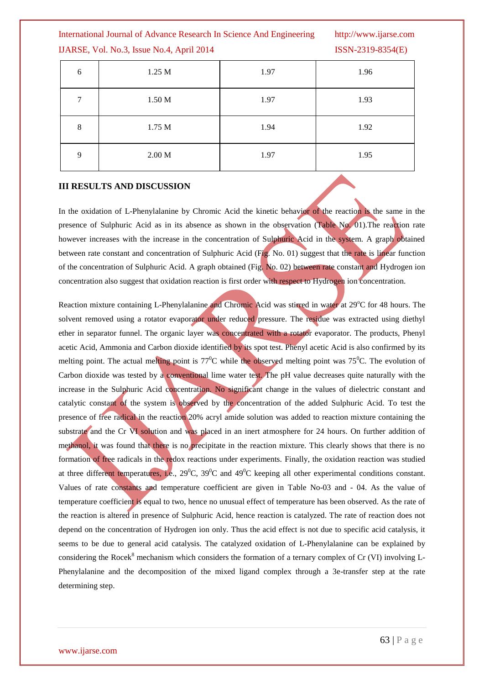International Journal of Advance Research In Science And Engineering http://www.ijarse.com

IJARSE, Vol. No.3, Issue No.4, April 2014 ISSN-2319-8354(E)

| 6      | 1.25 M | 1.97 | 1.96 |
|--------|--------|------|------|
| $\tau$ | 1.50 M | 1.97 | 1.93 |
| 8      | 1.75 M | 1.94 | 1.92 |
| 9      | 2.00 M | 1.97 | 1.95 |

### **III RESULTS AND DISCUSSION**

In the oxidation of L-Phenylalanine by Chromic Acid the kinetic behavior of the reaction is the same in the presence of Sulphuric Acid as in its absence as shown in the observation (Table No. 01).The reaction rate however increases with the increase in the concentration of Sulphuric Acid in the system. A graph obtained between rate constant and concentration of Sulphuric Acid (Fig. No. 01) suggest that the rate is linear function of the concentration of Sulphuric Acid. A graph obtained (Fig. No. 02) between rate constant and Hydrogen ion concentration also suggest that oxidation reaction is first order with respect to Hydrogen ion concentration.

Reaction mixture containing L-Phenylalanine and Chromic Acid was stirred in water at 29°C for 48 hours. The solvent removed using a rotator evaporator under reduced pressure. The residue was extracted using diethyl ether in separator funnel. The organic layer was concentrated with a rotator evaporator. The products, Phenyl acetic Acid, Ammonia and Carbon dioxide identified by its spot test. Phenyl acetic Acid is also confirmed by its melting point. The actual melting point is  $77^{\circ}$ C while the observed melting point was  $75^{\circ}$ C. The evolution of Carbon dioxide was tested by a conventional lime water test. The pH value decreases quite naturally with the increase in the Sulphuric Acid concentration. No significant change in the values of dielectric constant and catalytic constant of the system is observed by the concentration of the added Sulphuric Acid. To test the presence of free radical in the reaction 20% acryl amide solution was added to reaction mixture containing the substrate and the Cr VI solution and was placed in an inert atmosphere for 24 hours. On further addition of methanol, it was found that there is no precipitate in the reaction mixture. This clearly shows that there is no formation of free radicals in the redox reactions under experiments. Finally, the oxidation reaction was studied at three different temperatures, i.e.,  $29^{\circ}$ C,  $39^{\circ}$ C and  $49^{\circ}$ C keeping all other experimental conditions constant. Values of rate constants and temperature coefficient are given in Table No-03 and - 04. As the value of temperature coefficient is equal to two, hence no unusual effect of temperature has been observed. As the rate of the reaction is altered in presence of Sulphuric Acid, hence reaction is catalyzed. The rate of reaction does not depend on the concentration of Hydrogen ion only. Thus the acid effect is not due to specific acid catalysis, it seems to be due to general acid catalysis. The catalyzed oxidation of L-Phenylalanine can be explained by considering the Rocek<sup>8</sup> mechanism which considers the formation of a ternary complex of Cr (VI) involving L-Phenylalanine and the decomposition of the mixed ligand complex through a 3e-transfer step at the rate determining step.